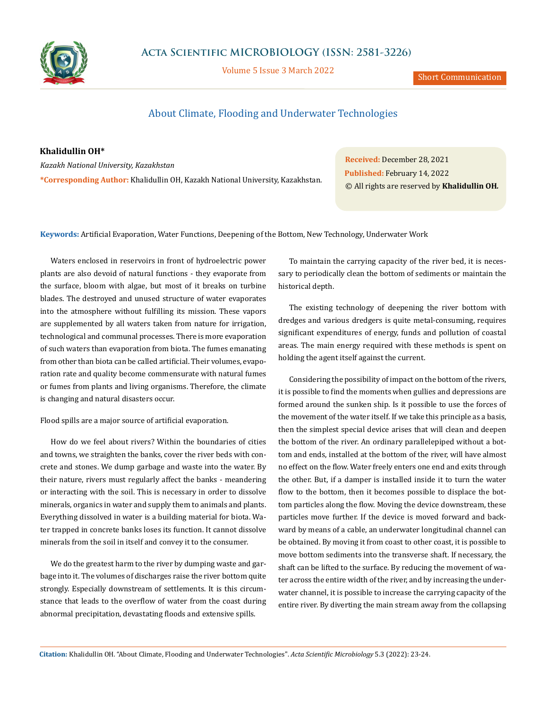

Volume 5 Issue 3 March 2022

Short Communication

## About Climate, Flooding and Underwater Technologies

**Khalidullin OH\*** *Kazakh National University, Kazakhstan* **\*Corresponding Author:** Khalidullin OH, Kazakh National University, Kazakhstan.

**Received:** December 28, 2021 **Published:** February 14, 2022 © All rights are reserved by **Khalidullin OH***.*

**Keywords:** Artificial Evaporation, Water Functions, Deepening of the Bottom, New Technology, Underwater Work

Waters enclosed in reservoirs in front of hydroelectric power plants are also devoid of natural functions - they evaporate from the surface, bloom with algae, but most of it breaks on turbine blades. The destroyed and unused structure of water evaporates into the atmosphere without fulfilling its mission. These vapors are supplemented by all waters taken from nature for irrigation, technological and communal processes. There is more evaporation of such waters than evaporation from biota. The fumes emanating from other than biota can be called artificial. Their volumes, evaporation rate and quality become commensurate with natural fumes or fumes from plants and living organisms. Therefore, the climate is changing and natural disasters occur.

Flood spills are a major source of artificial evaporation.

How do we feel about rivers? Within the boundaries of cities and towns, we straighten the banks, cover the river beds with concrete and stones. We dump garbage and waste into the water. By their nature, rivers must regularly affect the banks - meandering or interacting with the soil. This is necessary in order to dissolve minerals, organics in water and supply them to animals and plants. Everything dissolved in water is a building material for biota. Water trapped in concrete banks loses its function. It cannot dissolve minerals from the soil in itself and convey it to the consumer.

We do the greatest harm to the river by dumping waste and garbage into it. The volumes of discharges raise the river bottom quite strongly. Especially downstream of settlements. It is this circumstance that leads to the overflow of water from the coast during abnormal precipitation, devastating floods and extensive spills.

To maintain the carrying capacity of the river bed, it is necessary to periodically clean the bottom of sediments or maintain the historical depth.

The existing technology of deepening the river bottom with dredges and various dredgers is quite metal-consuming, requires significant expenditures of energy, funds and pollution of coastal areas. The main energy required with these methods is spent on holding the agent itself against the current.

Considering the possibility of impact on the bottom of the rivers, it is possible to find the moments when gullies and depressions are formed around the sunken ship. Is it possible to use the forces of the movement of the water itself. If we take this principle as a basis, then the simplest special device arises that will clean and deepen the bottom of the river. An ordinary parallelepiped without a bottom and ends, installed at the bottom of the river, will have almost no effect on the flow. Water freely enters one end and exits through the other. But, if a damper is installed inside it to turn the water flow to the bottom, then it becomes possible to displace the bottom particles along the flow. Moving the device downstream, these particles move further. If the device is moved forward and backward by means of a cable, an underwater longitudinal channel can be obtained. By moving it from coast to other coast, it is possible to move bottom sediments into the transverse shaft. If necessary, the shaft can be lifted to the surface. By reducing the movement of water across the entire width of the river, and by increasing the underwater channel, it is possible to increase the carrying capacity of the entire river. By diverting the main stream away from the collapsing

**Citation:** Khalidullin OH*.* "About Climate, Flooding and Underwater Technologies". *Acta Scientific Microbiology* 5.3 (2022): 23-24.